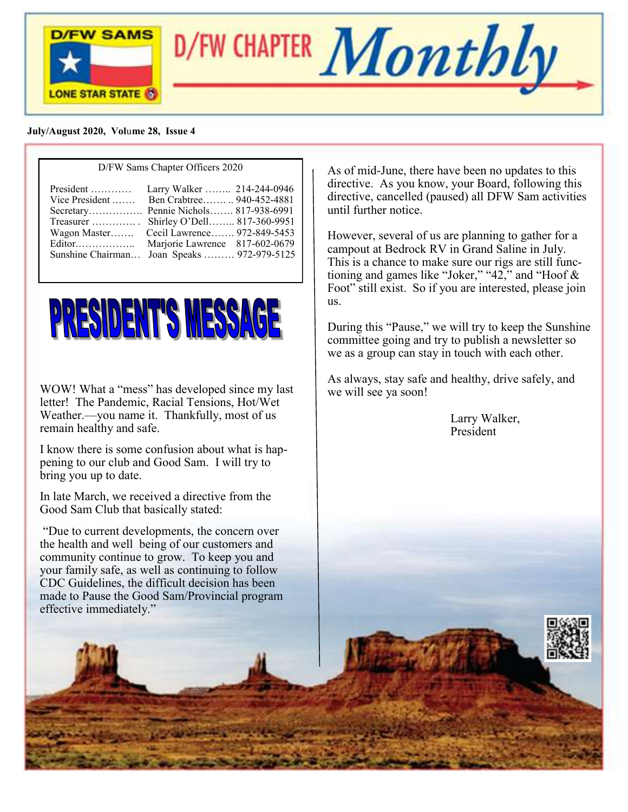



#### **July/August 2020, Vol**u**me 28, Issue 4**

| $D/T$ $\alpha$ banns chapter of the $2020$  |                                |  |  |
|---------------------------------------------|--------------------------------|--|--|
| $President$                                 | Larry Walker  214-244-0946     |  |  |
| Vice President  Ben Crabtree  940-452-4881  |                                |  |  |
| Secretary Pennie Nichols 817-938-6991       |                                |  |  |
| Treasurer $\dots\dots\dots\dots$            | Shirley O'Dell 817-360-9951    |  |  |
| Wagon Master                                | Cecil Lawrence 972-849-5453    |  |  |
| Editor                                      | Marjorie Lawrence 817-602-0679 |  |  |
| Sunshine Chairman Joan Speaks  972-979-5125 |                                |  |  |
|                                             |                                |  |  |

D/FW Sams Chapter Officers 2020



WOW! What a "mess" has developed since my last letter! The Pandemic, Racial Tensions, Hot/Wet Weather.—you name it. Thankfully, most of us remain healthy and safe.

I know there is some confusion about what is happening to our club and Good Sam. I will try to bring you up to date.

In late March, we received a directive from the Good Sam Club that basically stated:

"Due to current developments, the concern over the health and well being of our customers and community continue to grow. To keep you and your family safe, as well as continuing to follow CDC Guidelines, the difficult decision has been made to Pause the Good Sam/Provincial program effective immediately."

As of mid-June, there have been no updates to this directive. As you know, your Board, following this directive, cancelled (paused) all DFW Sam activities until further notice.

However, several of us are planning to gather for a campout at Bedrock RV in Grand Saline in July. This is a chance to make sure our rigs are still functioning and games like "Joker," "42," and "Hoof & Foot" still exist. So if you are interested, please join us.

During this "Pause," we will try to keep the Sunshine committee going and try to publish a newsletter so we as a group can stay in touch with each other.

As always, stay safe and healthy, drive safely, and we will see ya soon!

> Larry Walker, President

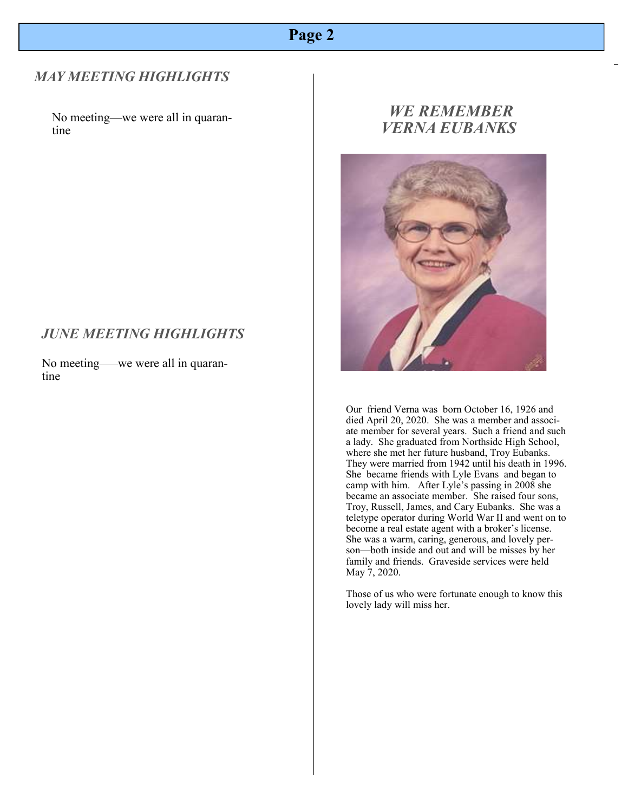# **Page 2**

### *MAY MEETING HIGHLIGHTS*

No meeting—we were all in quarantine

#### *JUNE MEETING HIGHLIGHTS*

No meeting–—we were all in quarantine

# *WE REMEMBER VERNA EUBANKS*



Our friend Verna was born October 16, 1926 and died April 20, 2020. She was a member and associate member for several years. Such a friend and such a lady. She graduated from Northside High School, where she met her future husband, Troy Eubanks. They were married from 1942 until his death in 1996. She became friends with Lyle Evans and began to camp with him. After Lyle's passing in 2008 she became an associate member. She raised four sons, Troy, Russell, James, and Cary Eubanks. She was a teletype operator during World War II and went on to become a real estate agent with a broker's license. She was a warm, caring, generous, and lovely person—both inside and out and will be misses by her family and friends. Graveside services were held May 7, 2020.

Those of us who were fortunate enough to know this lovely lady will miss her.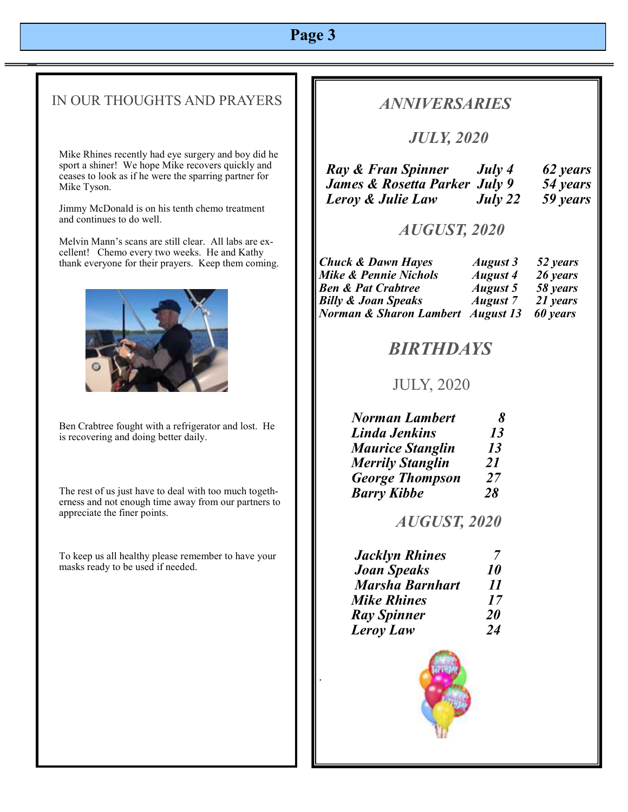# **Page 3**

# IN OUR THOUGHTS AND PRAYERS

Mike Rhines recently had eye surgery and boy did he sport a shiner! We hope Mike recovers quickly and ceases to look as if he were the sparring partner for Mike Tyson.

Jimmy McDonald is on his tenth chemo treatment and continues to do well.

Melvin Mann's scans are still clear. All labs are excellent! Chemo every two weeks. He and Kathy thank everyone for their prayers. Keep them coming.



Ben Crabtree fought with a refrigerator and lost. He is recovering and doing better daily.

The rest of us just have to deal with too much togetherness and not enough time away from our partners to appreciate the finer points.

To keep us all healthy please remember to have your masks ready to be used if needed.

### *ANNIVERSARIES*

# *JULY, 2020*

| Ray & Fran Spinner            | July 4  | 62 years |
|-------------------------------|---------|----------|
| James & Rosetta Parker July 9 |         | 54 years |
| Leroy & Julie Law             | July 22 | 59 years |

#### *AUGUST, 2020*

| <b>Chuck &amp; Dawn Hayes</b>     | August 3        | 52 years |
|-----------------------------------|-----------------|----------|
| Mike & Pennie Nichols             | <b>August 4</b> | 26 years |
| <b>Ben &amp; Pat Crabtree</b>     | <b>August 5</b> | 58 years |
| <b>Billy &amp; Joan Speaks</b>    | <b>August</b> 7 | 21 years |
| Norman & Sharon Lambert August 13 |                 | 60 years |

# *BIRTHDAYS*

### JULY, 2020

| <b>Norman Lambert</b>   | X  |
|-------------------------|----|
| Linda Jenkins           | 13 |
| <b>Maurice Stanglin</b> | 13 |
| <b>Merrily Stanglin</b> | 21 |
| <b>George Thompson</b>  | 27 |
| <b>Barry Kibbe</b>      | 28 |

#### *AUGUST, 2020*

| <b>Jacklyn Rhines</b>  |                            |
|------------------------|----------------------------|
| <b>Joan Speaks</b>     | 10                         |
| <b>Marsha Barnhart</b> | $\boldsymbol{\mathit{II}}$ |
| <b>Mike Rhines</b>     | 17                         |
| <b>Ray Spinner</b>     | <b>20</b>                  |
| <b>Leroy Law</b>       | 24                         |

.